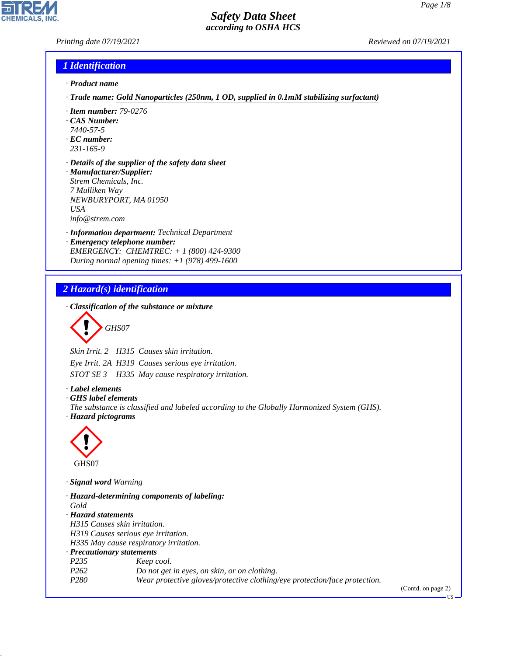*Printing date 07/19/2021 Reviewed on 07/19/2021*

#### *1 Identification*

- *· Product name*
- *· Trade name: Gold Nanoparticles (250nm, 1 OD, supplied in 0.1mM stabilizing surfactant)*
- *· Item number: 79-0276*
- *· CAS Number:*
- *7440-57-5*
- *· EC number: 231-165-9*
- 
- *· Details of the supplier of the safety data sheet · Manufacturer/Supplier: Strem Chemicals, Inc. 7 Mulliken Way NEWBURYPORT, MA 01950 USA*

*info@strem.com*

- *· Information department: Technical Department*
- *· Emergency telephone number: EMERGENCY: CHEMTREC: + 1 (800) 424-9300 During normal opening times: +1 (978) 499-1600*

## *2 Hazard(s) identification*

*· Classification of the substance or mixture*

$$
\bigotimes \mathrm{GH}S07
$$

*Skin Irrit. 2 H315 Causes skin irritation.*

*Eye Irrit. 2A H319 Causes serious eye irritation.*

*STOT SE 3 H335 May cause respiratory irritation.*

*· Label elements*

*· GHS label elements*

*The substance is classified and labeled according to the Globally Harmonized System (GHS). · Hazard pictograms*

\_\_\_\_\_\_\_\_\_\_\_\_\_\_\_\_\_\_\_\_\_



44.1.1

*· Signal word Warning*

*· Hazard-determining components of labeling: Gold · Hazard statements H315 Causes skin irritation. H319 Causes serious eye irritation. H335 May cause respiratory irritation. · Precautionary statements P235 Keep cool. P262 Do not get in eyes, on skin, or on clothing. P280 Wear protective gloves/protective clothing/eye protection/face protection.*

(Contd. on page 2)

US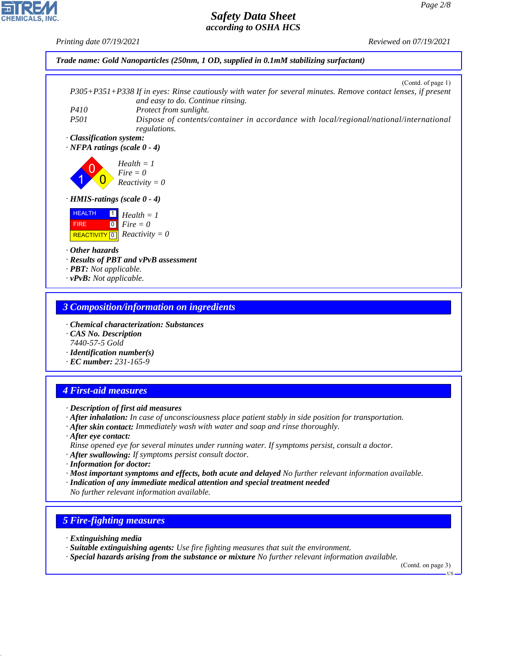*Printing date 07/19/2021 Reviewed on 07/19/2021*



#### *3 Composition/information on ingredients*

- *· Chemical characterization: Substances*
- *· CAS No. Description 7440-57-5 Gold*
- *· Identification number(s)*
- *· EC number: 231-165-9*

### *4 First-aid measures*

- *· Description of first aid measures*
- *· After inhalation: In case of unconsciousness place patient stably in side position for transportation.*
- *· After skin contact: Immediately wash with water and soap and rinse thoroughly.*
- *· After eye contact: Rinse opened eye for several minutes under running water. If symptoms persist, consult a doctor.*
- *· After swallowing: If symptoms persist consult doctor.*
- *· Information for doctor:*
- *· Most important symptoms and effects, both acute and delayed No further relevant information available.*
- *· Indication of any immediate medical attention and special treatment needed No further relevant information available.*

### *5 Fire-fighting measures*

*· Extinguishing media*

44.1.1

- *· Suitable extinguishing agents: Use fire fighting measures that suit the environment.*
- *· Special hazards arising from the substance or mixture No further relevant information available.*

(Contd. on page 3)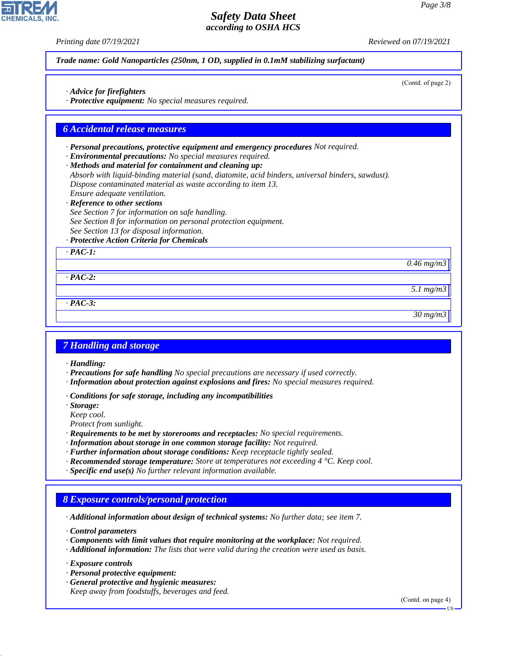(Contd. of page 2)

## *Safety Data Sheet according to OSHA HCS*

*Printing date 07/19/2021 Reviewed on 07/19/2021*

*Trade name: Gold Nanoparticles (250nm, 1 OD, supplied in 0.1mM stabilizing surfactant)*

*· Advice for firefighters*

*· Protective equipment: No special measures required.*

#### *6 Accidental release measures*

- *· Personal precautions, protective equipment and emergency procedures Not required.*
- *· Environmental precautions: No special measures required.*
- *· Methods and material for containment and cleaning up:*
- *Absorb with liquid-binding material (sand, diatomite, acid binders, universal binders, sawdust). Dispose contaminated material as waste according to item 13. Ensure adequate ventilation.*
- *· Reference to other sections*
- *See Section 7 for information on safe handling. See Section 8 for information on personal protection equipment. See Section 13 for disposal information.*
- *· Protective Action Criteria for Chemicals*

*· PAC-1:*

*0.46 mg/m3*

*· PAC-2:*

*· PAC-3:*

*30 mg/m3*

*5.1 mg/m3*

### *7 Handling and storage*

*· Handling:*

- *· Precautions for safe handling No special precautions are necessary if used correctly.*
- *· Information about protection against explosions and fires: No special measures required.*
- *· Conditions for safe storage, including any incompatibilities*
- *· Storage:*
- *Keep cool.*
- *Protect from sunlight.*
- *· Requirements to be met by storerooms and receptacles: No special requirements.*
- *· Information about storage in one common storage facility: Not required.*
- *· Further information about storage conditions: Keep receptacle tightly sealed.*
- *· Recommended storage temperature: Store at temperatures not exceeding 4 °C. Keep cool.*
- *· Specific end use(s) No further relevant information available.*

### *8 Exposure controls/personal protection*

*· Additional information about design of technical systems: No further data; see item 7.*

*· Control parameters*

- *· Components with limit values that require monitoring at the workplace: Not required.*
- *· Additional information: The lists that were valid during the creation were used as basis.*

*· Exposure controls*

44.1.1

- *· Personal protective equipment:*
- *· General protective and hygienic measures: Keep away from foodstuffs, beverages and feed.*

(Contd. on page 4)

US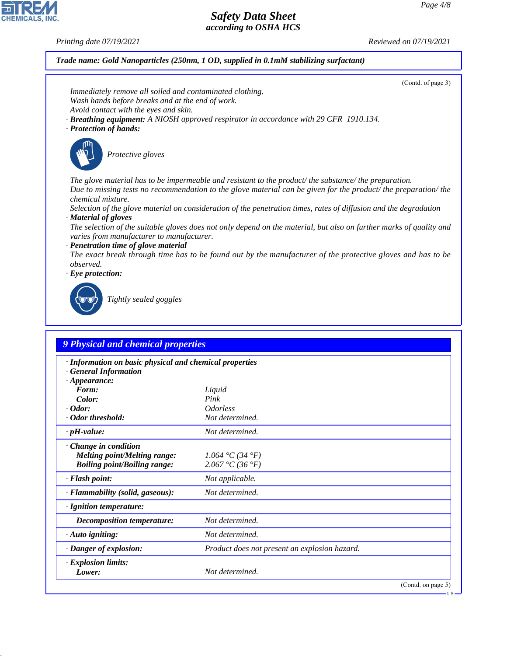*Printing date 07/19/2021 Reviewed on 07/19/2021*

*Trade name: Gold Nanoparticles (250nm, 1 OD, supplied in 0.1mM stabilizing surfactant)*

|                                                                                                                                                                 | (Contd. of page 3)                                                                                                  |
|-----------------------------------------------------------------------------------------------------------------------------------------------------------------|---------------------------------------------------------------------------------------------------------------------|
| Immediately remove all soiled and contaminated clothing.<br>Wash hands before breaks and at the end of work.                                                    |                                                                                                                     |
| Avoid contact with the eyes and skin.                                                                                                                           |                                                                                                                     |
|                                                                                                                                                                 | · Breathing equipment: A NIOSH approved respirator in accordance with 29 CFR 1910.134.                              |
| · Protection of hands:                                                                                                                                          |                                                                                                                     |
|                                                                                                                                                                 |                                                                                                                     |
| Protective gloves                                                                                                                                               |                                                                                                                     |
|                                                                                                                                                                 | The glove material has to be impermeable and resistant to the product/ the substance/ the preparation.              |
| chemical mixture.                                                                                                                                               | Due to missing tests no recommendation to the glove material can be given for the product/the preparation/the       |
|                                                                                                                                                                 | Selection of the glove material on consideration of the penetration times, rates of diffusion and the degradation   |
| · Material of gloves                                                                                                                                            |                                                                                                                     |
| varies from manufacturer to manufacturer.                                                                                                                       | The selection of the suitable gloves does not only depend on the material, but also on further marks of quality and |
| · Penetration time of glove material                                                                                                                            | The exact break through time has to be found out by the manufacturer of the protective gloves and has to be         |
| observed.                                                                                                                                                       |                                                                                                                     |
| $\cdot$ Eye protection:                                                                                                                                         |                                                                                                                     |
|                                                                                                                                                                 |                                                                                                                     |
| Tightly sealed goggles                                                                                                                                          |                                                                                                                     |
|                                                                                                                                                                 |                                                                                                                     |
|                                                                                                                                                                 |                                                                                                                     |
|                                                                                                                                                                 |                                                                                                                     |
| 9 Physical and chemical properties                                                                                                                              |                                                                                                                     |
| · Information on basic physical and chemical properties                                                                                                         |                                                                                                                     |
| <b>General Information</b><br>$\cdot$ Appearance:                                                                                                               |                                                                                                                     |
| Form:                                                                                                                                                           | Liquid                                                                                                              |
|                                                                                                                                                                 |                                                                                                                     |
| Color:                                                                                                                                                          | Pink                                                                                                                |
|                                                                                                                                                                 | <b>Odorless</b>                                                                                                     |
|                                                                                                                                                                 | Not determined.                                                                                                     |
|                                                                                                                                                                 | Not determined.                                                                                                     |
|                                                                                                                                                                 |                                                                                                                     |
| <b>Melting point/Melting range:</b>                                                                                                                             | 1.064 °C (34 °F)                                                                                                    |
| <b>Boiling point/Boiling range:</b>                                                                                                                             | 2.067 °C (36 °F)                                                                                                    |
|                                                                                                                                                                 | Not applicable.                                                                                                     |
|                                                                                                                                                                 | Not determined.                                                                                                     |
|                                                                                                                                                                 |                                                                                                                     |
| <b>Decomposition temperature:</b>                                                                                                                               | Not determined.                                                                                                     |
|                                                                                                                                                                 | Not determined.                                                                                                     |
| $\cdot$ pH-value:<br>· Flammability (solid, gaseous):<br>· Danger of explosion:                                                                                 | Product does not present an explosion hazard.                                                                       |
| $\cdot$ Odor:<br>· Odor threshold:<br>$\cdot$ Change in condition<br>· Flash point:<br>· Ignition temperature:<br>$\cdot$ Auto igniting:<br>· Explosion limits: |                                                                                                                     |
| Lower:                                                                                                                                                          | Not determined.                                                                                                     |
|                                                                                                                                                                 | (Contd. on page 5)<br><b>US</b>                                                                                     |



44.1.1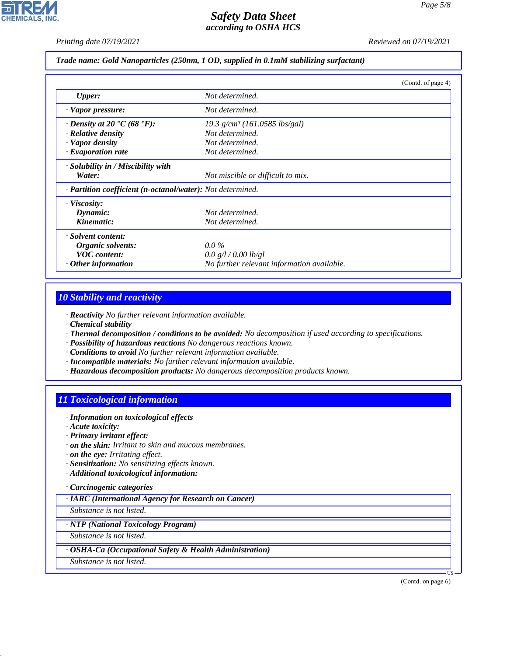*Printing date 07/19/2021 Reviewed on 07/19/2021*

#### *Trade name: Gold Nanoparticles (250nm, 1 OD, supplied in 0.1mM stabilizing surfactant)*

|                                                            | (Contd. of page 4)                         |  |
|------------------------------------------------------------|--------------------------------------------|--|
| <b>Upper:</b>                                              | Not determined.                            |  |
| · Vapor pressure:                                          | Not determined.                            |  |
| $\cdot$ Density at 20 $\cdot$ C (68 $\cdot$ F):            | 19.3 g/cm <sup>3</sup> (161.0585 lbs/gal)  |  |
| $\cdot$ Relative density                                   | Not determined.                            |  |
| · Vapor density                                            | Not determined.                            |  |
| $\cdot$ Evaporation rate                                   | Not determined.                            |  |
| · Solubility in / Miscibility with                         |                                            |  |
| Water:                                                     | Not miscible or difficult to mix.          |  |
| · Partition coefficient (n-octanol/water): Not determined. |                                            |  |
| · Viscosity:                                               |                                            |  |
| Dynamic:                                                   | Not determined.                            |  |
| Kinematic:                                                 | Not determined.                            |  |
| · Solvent content:                                         |                                            |  |
| Organic solvents:                                          | $0.0\%$                                    |  |
| <b>VOC</b> content:                                        | 0.0 g/l / 0.00 lb/gl                       |  |
| $·$ Other information                                      | No further relevant information available. |  |

#### *10 Stability and reactivity*

*· Reactivity No further relevant information available.*

- *· Chemical stability*
- *· Thermal decomposition / conditions to be avoided: No decomposition if used according to specifications.*
- *· Possibility of hazardous reactions No dangerous reactions known.*
- *· Conditions to avoid No further relevant information available.*
- *· Incompatible materials: No further relevant information available.*
- *· Hazardous decomposition products: No dangerous decomposition products known.*

# *11 Toxicological information*

- *· Information on toxicological effects*
- *· Acute toxicity:*
- *· Primary irritant effect:*
- *· on the skin: Irritant to skin and mucous membranes.*
- *· on the eye: Irritating effect.*
- *· Sensitization: No sensitizing effects known.*
- *· Additional toxicological information:*

### *· Carcinogenic categories*

*· IARC (International Agency for Research on Cancer)*

*Substance is not listed.*

## *· NTP (National Toxicology Program)*

*Substance is not listed.*

#### *· OSHA-Ca (Occupational Safety & Health Administration)*

*Substance is not listed.*

44.1.1

(Contd. on page 6)

US

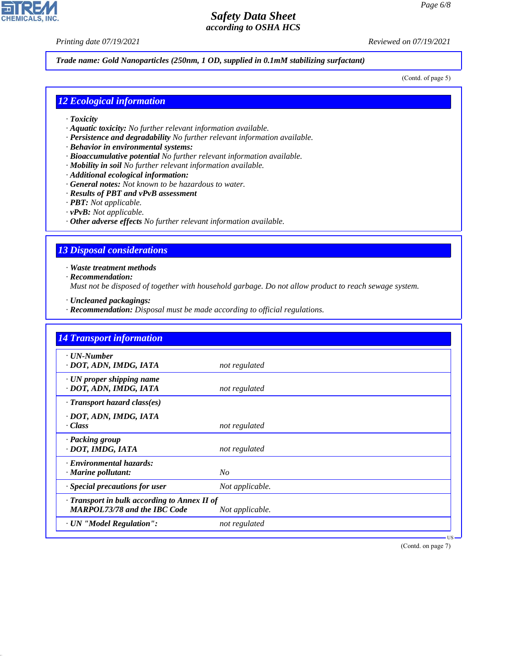**CHEMICALS, INC** 

*Printing date 07/19/2021 Reviewed on 07/19/2021*

#### *Trade name: Gold Nanoparticles (250nm, 1 OD, supplied in 0.1mM stabilizing surfactant)*

(Contd. of page 5)

#### *12 Ecological information*

- *· Toxicity*
- *· Aquatic toxicity: No further relevant information available.*
- *· Persistence and degradability No further relevant information available.*
- *· Behavior in environmental systems:*
- *· Bioaccumulative potential No further relevant information available.*
- *· Mobility in soil No further relevant information available.*
- *· Additional ecological information:*
- *· General notes: Not known to be hazardous to water.*
- *· Results of PBT and vPvB assessment*
- *· PBT: Not applicable.*
- *· vPvB: Not applicable.*
- *· Other adverse effects No further relevant information available.*

#### *13 Disposal considerations*

*· Waste treatment methods*

*· Recommendation:*

44.1.1

*Must not be disposed of together with household garbage. Do not allow product to reach sewage system.*

- *· Uncleaned packagings:*
- *· Recommendation: Disposal must be made according to official regulations.*

| <b>14 Transport information</b>                                                     |                 |
|-------------------------------------------------------------------------------------|-----------------|
| $\cdot$ UN-Number<br>· DOT, ADN, IMDG, IATA                                         | not regulated   |
| $\cdot$ UN proper shipping name<br>· DOT, ADN, IMDG, IATA                           | not regulated   |
| · Transport hazard class(es)                                                        |                 |
| · DOT, ADN, IMDG, IATA<br>· Class                                                   | not regulated   |
| · Packing group<br>· DOT, IMDG, IATA                                                | not regulated   |
| · Environmental hazards:<br>· Marine pollutant:                                     | No              |
| Special precautions for user                                                        | Not applicable. |
| · Transport in bulk according to Annex II of<br><b>MARPOL73/78 and the IBC Code</b> | Not applicable. |
| · UN "Model Regulation":                                                            | not regulated   |

(Contd. on page 7)

US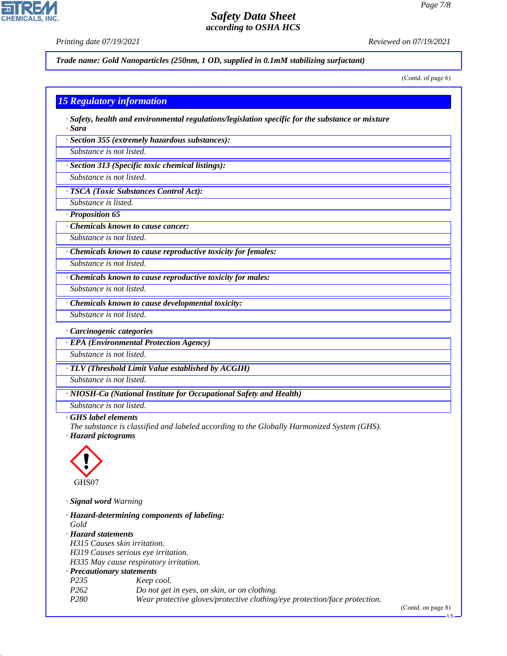*Printing date 07/19/2021 Reviewed on 07/19/2021*

**CHEMICALS.** 

*Trade name: Gold Nanoparticles (250nm, 1 OD, supplied in 0.1mM stabilizing surfactant)*

(Contd. of page 6)

### *15 Regulatory information*

*· Safety, health and environmental regulations/legislation specific for the substance or mixture · Sara*

*· Section 355 (extremely hazardous substances):*

*Substance is not listed.*

*· Section 313 (Specific toxic chemical listings):*

*Substance is not listed.*

*· TSCA (Toxic Substances Control Act):*

*Substance is listed.*

*· Proposition 65*

*· Chemicals known to cause cancer:*

*Substance is not listed.*

*· Chemicals known to cause reproductive toxicity for females:*

*Substance is not listed.*

*· Chemicals known to cause reproductive toxicity for males:*

*Substance is not listed.*

*· Chemicals known to cause developmental toxicity:*

*Substance is not listed.*

*· Carcinogenic categories*

*· EPA (Environmental Protection Agency)*

*Substance is not listed.*

*· TLV (Threshold Limit Value established by ACGIH)*

*Substance is not listed.*

*· NIOSH-Ca (National Institute for Occupational Safety and Health)*

*Substance is not listed.*

*· GHS label elements*

*The substance is classified and labeled according to the Globally Harmonized System (GHS). · Hazard pictograms*



44.1.1

*· Signal word Warning*

|                                     | · Hazard-determining components of labeling:                               |
|-------------------------------------|----------------------------------------------------------------------------|
| Gold                                |                                                                            |
| · Hazard statements                 |                                                                            |
| H315 Causes skin irritation.        |                                                                            |
| H319 Causes serious eye irritation. |                                                                            |
|                                     | H335 May cause respiratory irritation.                                     |
| · Precautionary statements          |                                                                            |
| P <sub>235</sub>                    | Keep cool.                                                                 |
| P <sub>262</sub>                    | Do not get in eyes, on skin, or on clothing.                               |
| P280                                | Wear protective gloves/protective clothing/eye protection/face protection. |

(Contd. on page 8)

US